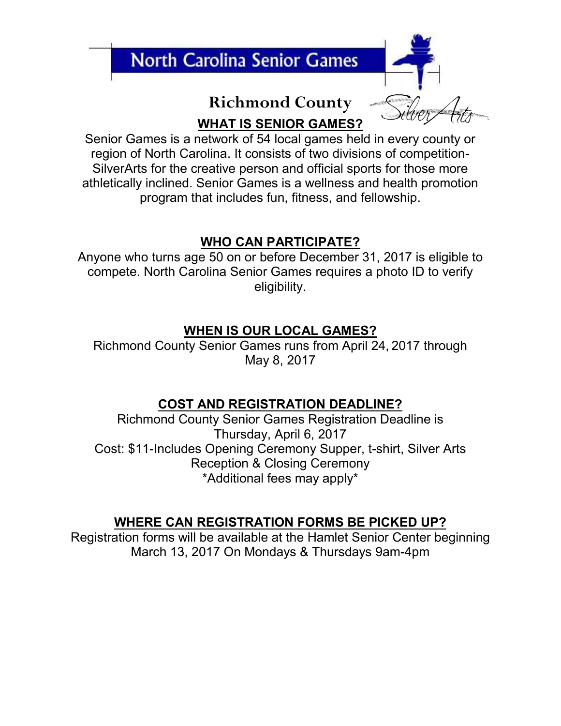

# **Richmond County WHAT IS SENIOR GAMES?**

Senior Games is a network of 54 local games held in every county or region of North Carolina. It consists of two divisions of competition-SilverArts for the creative person and official sports for those more athletically inclined. Senior Games is a wellness and health promotion program that includes fun, fitness, and fellowship.

## **WHO CAN PARTICIPATE?**

Anyone who turns age 50 on or before December 31, 2017 is eligible to compete. North Carolina Senior Games requires a photo ID to verify eligibility.

### **WHEN IS OUR LOCAL GAMES?**

Richmond County Senior Games runs from April 24, 2017 through May 8, 2017

### **COST AND REGISTRATION DEADLINE?**

Richmond County Senior Games Registration Deadline is Thursday, April 6, 2017 Cost: \$11-Includes Opening Ceremony Supper, t-shirt, Silver Arts Reception & Closing Ceremony \*Additional fees may apply\*

### **WHERE CAN REGISTRATION FORMS BE PICKED UP?**

Registration forms will be available at the Hamlet Senior Center beginning March 13, 2017 On Mondays & Thursdays 9am-4pm